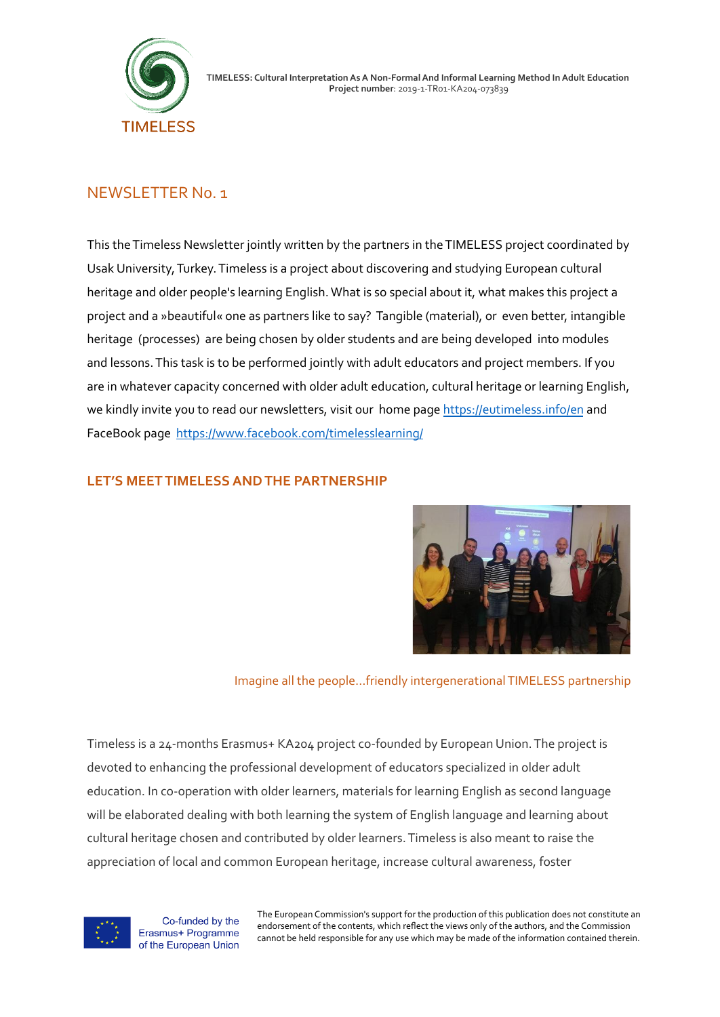

# NEWSLETTER N0. 1

This theTimeless Newsletter jointly written by the partners in theTIMELESS project coordinated by Usak University,Turkey.Timeless is a project about discovering and studying European cultural heritage and older people's learning English.What is so special about it, what makes this project a project and a »beautiful« one as partners like to say? Tangible (material), or even better, intangible heritage (processes) are being chosen by older students and are being developed into modules and lessons.This task is to be performed jointly with adult educators and project members. If you are in whatever capacity concerned with older adult education, cultural heritage or learning English, we kindly invite you to read our newsletters, visit our home page <https://eutimeless.info/en> and FaceBook page <https://www.facebook.com/timelesslearning/>

## **LET'S MEET TIMELESS AND THE PARTNERSHIP**



Imagine all the people…friendly intergenerationalTIMELESS partnership

Timeless is a 24-months Erasmus+ KA204 project co-founded by European Union.The project is devoted to enhancing the professional development of educators specialized in older adult education. In co-operation with older learners, materials for learning English as second language will be elaborated dealing with both learning the system of English language and learning about cultural heritage chosen and contributed by older learners.Timeless is also meant to raise the appreciation of local and common European heritage, increase cultural awareness, foster



Co-funded by the Erasmus+ Programme of the European Union

The European Commission's support for the production of this publication does not constitute an endorsement of the contents, which reflect the views only of the authors, and the Commission cannot be held responsible for any use which may be made of the information contained therein.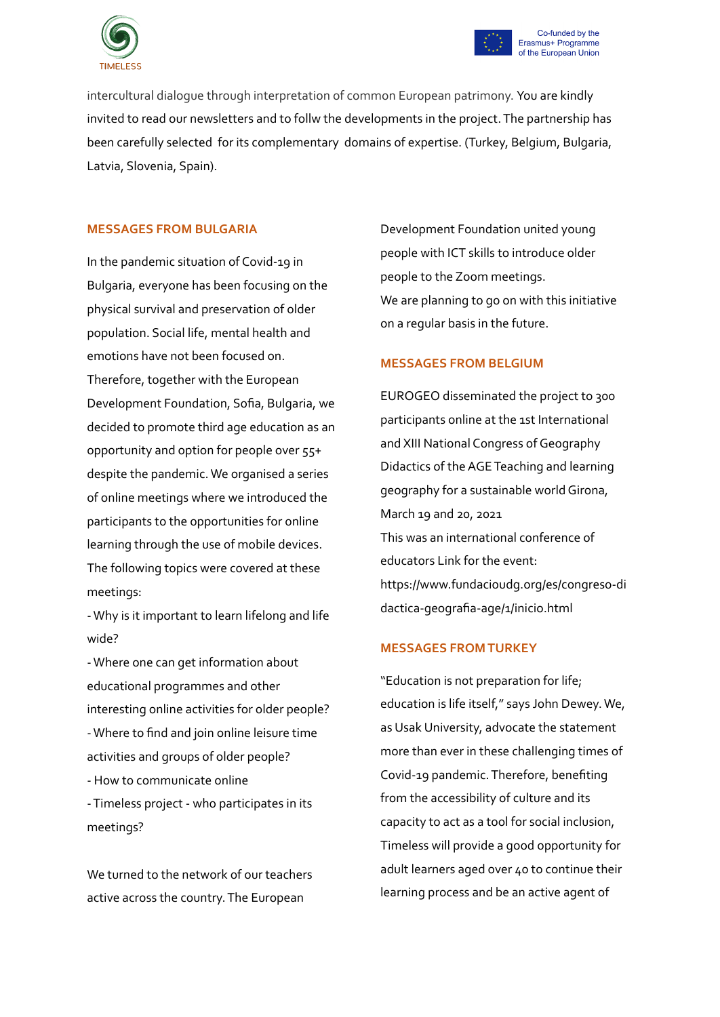



intercultural dialogue through interpretation of common European patrimony. You are kindly invited to read our newsletters and to follw the developments in the project.The partnership has been carefully selected for its complementary domains of expertise. (Turkey, Belgium, Bulgaria, Latvia, Slovenia, Spain).

### **MESSAGES FROM BULGARIA**

In the pandemic situation of Covid-19 in Bulgaria, everyone has been focusing on the physical survival and preservation of older population. Social life, mental health and emotions have not been focused on. Therefore, together with the European Development Foundation, Sofia, Bulgaria, we decided to promote third age education as an opportunity and option for people over 55+ despite the pandemic.We organised a series of online meetings where we introduced the participants to the opportunities for online learning through the use of mobile devices. The following topics were covered at these meetings:

-Why is it important to learn lifelong and life wide?

-Where one can get information about educational programmes and other interesting online activities for older people? -Where to find and join online leisure time activities and groups of older people? - How to communicate online

-Timeless project - who participates in its meetings?

We turned to the network of our teachers active across the country.The European

Development Foundation united young people with ICT skills to introduce older people to the Zoom meetings. We are planning to go on with this initiative on a regular basis in the future.

### **MESSAGES FROM BELGIUM**

EUROGEO disseminated the project to 300 participants online at the 1st International and XIII National Congress of Geography Didactics of the AGE Teaching and learning geography for a sustainable worldGirona, March 19 and 20, 2021 This was an international conference of educators Link for the event: https://www.fundacioudg.org/es/congreso-di dactica-geografia-age/1/inicio.html

#### **MESSAGES FROMTURKEY**

"Education is not preparation for life; education is life itself," says John Dewey.We, as Usak University, advocate the statement more than ever in these challenging times of Covid-19 pandemic.Therefore, benefiting from the accessibility of culture and its capacity to act as a tool for social inclusion, Timeless will provide a good opportunity for adult learners aged over 40 to continue their learning process and be an active agent of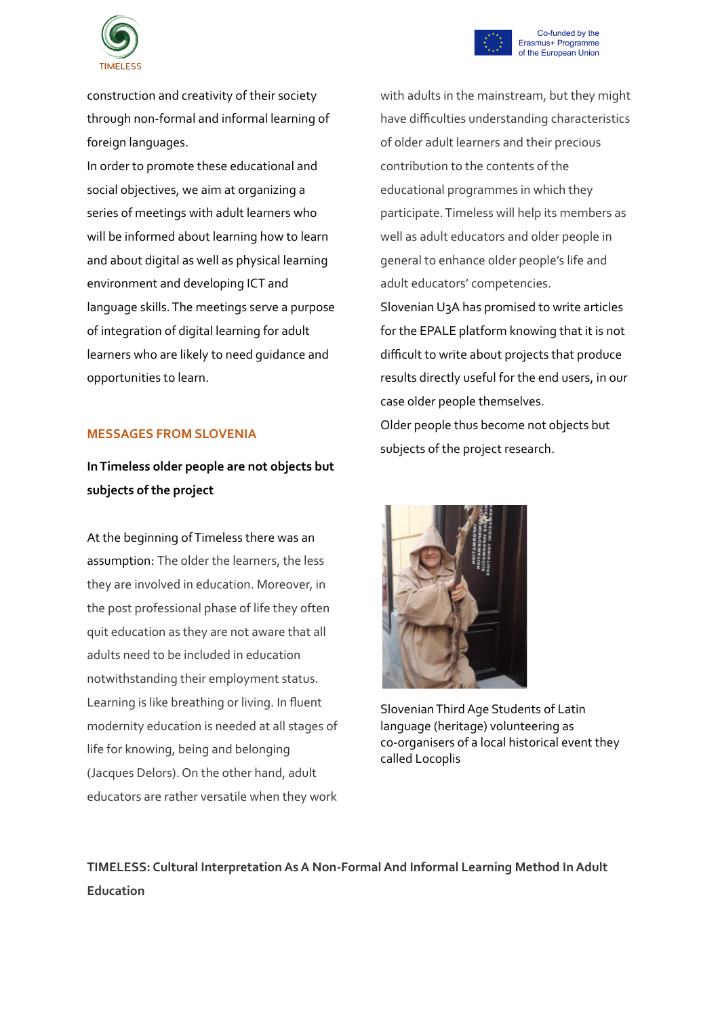

construction and creativity of their society through non-formal and informal learning of foreign languages.

In order to promote these educational and social objectives, we aim at organizing a series of meetings with adult learners who will be informed about learning how to learn and about digital as well as physical learning environment and developing ICT and language skills.The meetings serve a purpose of integration of digital learning for adult learners who are likely to need guidance and opportunities to learn.

#### **MESSAGES FROM SLOVENIA**

# **InTimeless older people are not objects but subjects of the project**

At the beginning ofTimeless there was an assumption: The older the learners, the less they are involved in education. Moreover, in the post professional phase of life they often quit education as they are not aware that all adults need to be included in education notwithstanding their employment status. Learning is like breathing or living. In fluent modernity education is needed at all stages of life for knowing, being and belonging (Jacques Delors). On the other hand, adult educators are rather versatile when they work with adults in the mainstream, but they might have difficulties understanding characteristics of older adult learners and their precious contribution to the contents of the educational programmes in which they participate.Timeless will help its members as well as adult educators and older people in general to enhance older people's life and adult educators' competencies. Slovenian U3A has promised to write articles for the EPALE platform knowing that it is not

difficult to write about projects that produce results directly useful for the end users, in our case older people themselves. Older people thus become not objects but subjects of the project research.



SlovenianThirdAge Students of Latin language (heritage) volunteering as co-organisers of a local historical event they called Locoplis

**TIMELESS: Cultural InterpretationAsA Non-FormalAnd Informal Learning Method InAdult Education**



Co-funded by the Erasmus+ Programme of the European Union